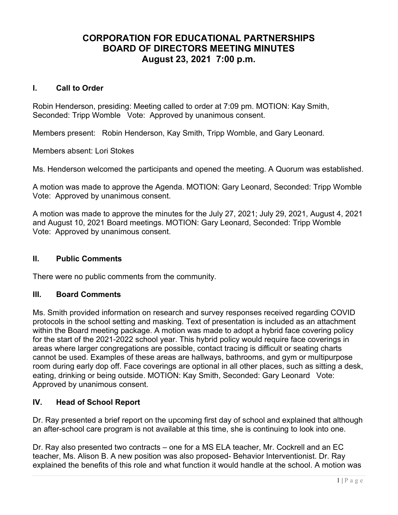# CORPORATION FOR EDUCATIONAL PARTNERSHIPS BOARD OF DIRECTORS MEETING MINUTES August 23, 2021 7:00 p.m.

#### I. Call to Order

Robin Henderson, presiding: Meeting called to order at 7:09 pm. MOTION: Kay Smith, Seconded: Tripp Womble Vote: Approved by unanimous consent.

Members present: Robin Henderson, Kay Smith, Tripp Womble, and Gary Leonard.

Members absent: Lori Stokes

Ms. Henderson welcomed the participants and opened the meeting. A Quorum was established.

A motion was made to approve the Agenda. MOTION: Gary Leonard, Seconded: Tripp Womble Vote: Approved by unanimous consent.

A motion was made to approve the minutes for the July 27, 2021; July 29, 2021, August 4, 2021 and August 10, 2021 Board meetings. MOTION: Gary Leonard, Seconded: Tripp Womble Vote: Approved by unanimous consent.

# II. Public Comments

There were no public comments from the community.

#### III. Board Comments

Ms. Smith provided information on research and survey responses received regarding COVID protocols in the school setting and masking. Text of presentation is included as an attachment within the Board meeting package. A motion was made to adopt a hybrid face covering policy for the start of the 2021-2022 school year. This hybrid policy would require face coverings in areas where larger congregations are possible, contact tracing is difficult or seating charts cannot be used. Examples of these areas are hallways, bathrooms, and gym or multipurpose room during early dop off. Face coverings are optional in all other places, such as sitting a desk, eating, drinking or being outside. MOTION: Kay Smith, Seconded: Gary Leonard Vote: Approved by unanimous consent.

# IV. Head of School Report

Dr. Ray presented a brief report on the upcoming first day of school and explained that although an after-school care program is not available at this time, she is continuing to look into one.

Dr. Ray also presented two contracts – one for a MS ELA teacher, Mr. Cockrell and an EC teacher, Ms. Alison B. A new position was also proposed- Behavior Interventionist. Dr. Ray explained the benefits of this role and what function it would handle at the school. A motion was